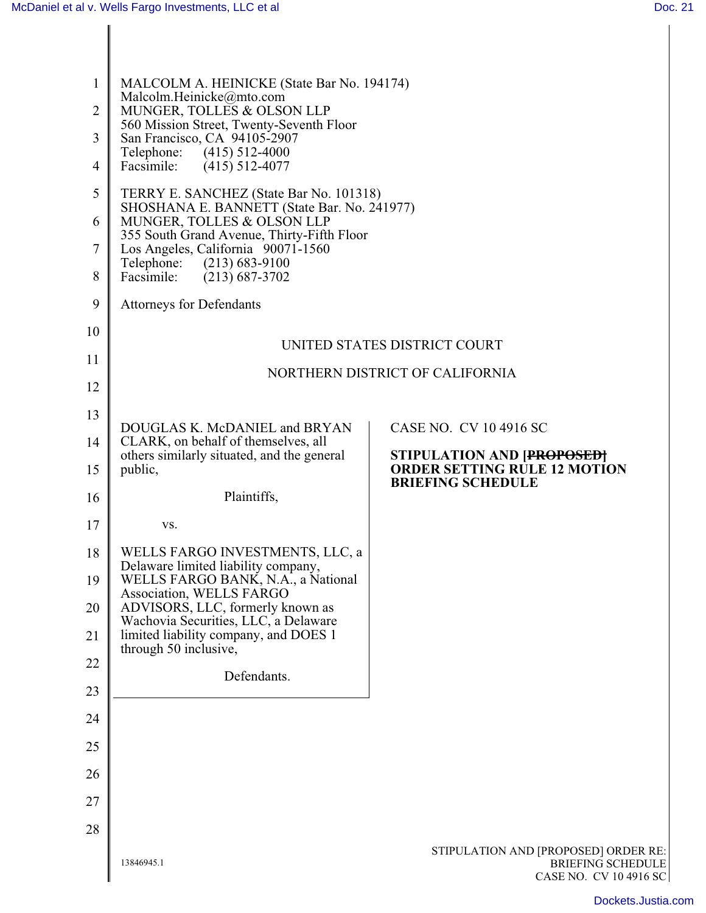I

| $\mathbf{1}$   | MALCOLM A. HEINICKE (State Bar No. 194174)                                                            |                                                                 |
|----------------|-------------------------------------------------------------------------------------------------------|-----------------------------------------------------------------|
| $\overline{2}$ | Malcolm.Heinicke@mto.com<br>MUNGER, TOLLES & OLSON LLP                                                |                                                                 |
| 3              | 560 Mission Street, Twenty-Seventh Floor<br>San Francisco, CA 94105-2907<br>Telephone: (415) 512-4000 |                                                                 |
| $\overline{4}$ | Facsimile:<br>$(415)$ 512-4077                                                                        |                                                                 |
| 5              | TERRY E. SANCHEZ (State Bar No. 101318)<br>SHOSHANA E. BANNETT (State Bar. No. 241977)                |                                                                 |
| 6              | MUNGER, TOLLES & OLSON LLP<br>355 South Grand Avenue, Thirty-Fifth Floor                              |                                                                 |
| $\tau$         | Los Angeles, California 90071-1560<br>Telephone: (213) 683-9100                                       |                                                                 |
| 8              | Facsimile:<br>$(213) 687 - 3702$                                                                      |                                                                 |
| 9              | <b>Attorneys for Defendants</b>                                                                       |                                                                 |
| 10             | UNITED STATES DISTRICT COURT                                                                          |                                                                 |
| 11             | NORTHERN DISTRICT OF CALIFORNIA                                                                       |                                                                 |
| 12             |                                                                                                       |                                                                 |
| 13             | DOUGLAS K. McDANIEL and BRYAN                                                                         | CASE NO. CV 10 4916 SC                                          |
| 14             | CLARK, on behalf of themselves, all<br>others similarly situated, and the general                     | STIPULATION AND [PROPOSED]                                      |
| 15             | public,                                                                                               | <b>ORDER SETTING RULE 12 MOTION</b><br><b>BRIEFING SCHEDULE</b> |
| 16             | Plaintiffs,                                                                                           |                                                                 |
| 17             | VS.                                                                                                   |                                                                 |
| 18             | WELLS FARGO INVESTMENTS, LLC, a<br>Delaware limited liability company,                                |                                                                 |
| 19             | WELLS FARGO BANK, N.A., a National<br>Association, WELLS FARGO                                        |                                                                 |
| 20             | ADVISORS, LLC, formerly known as<br>Wachovia Securities, LLC, a Delaware                              |                                                                 |
| 21             | limited liability company, and DOES 1<br>through 50 inclusive,                                        |                                                                 |
| 22             | Defendants.                                                                                           |                                                                 |
| 23             |                                                                                                       |                                                                 |
| 24             |                                                                                                       |                                                                 |
| 25             |                                                                                                       |                                                                 |
| 26             |                                                                                                       |                                                                 |
| 27             |                                                                                                       |                                                                 |
| 28             |                                                                                                       | STIPULATION AND [PROPOSED] ORDER RE:                            |
|                | 13846945.1                                                                                            | <b>BRIEFING SCHEDULE</b><br>CASE NO. CV 10 4916 SC              |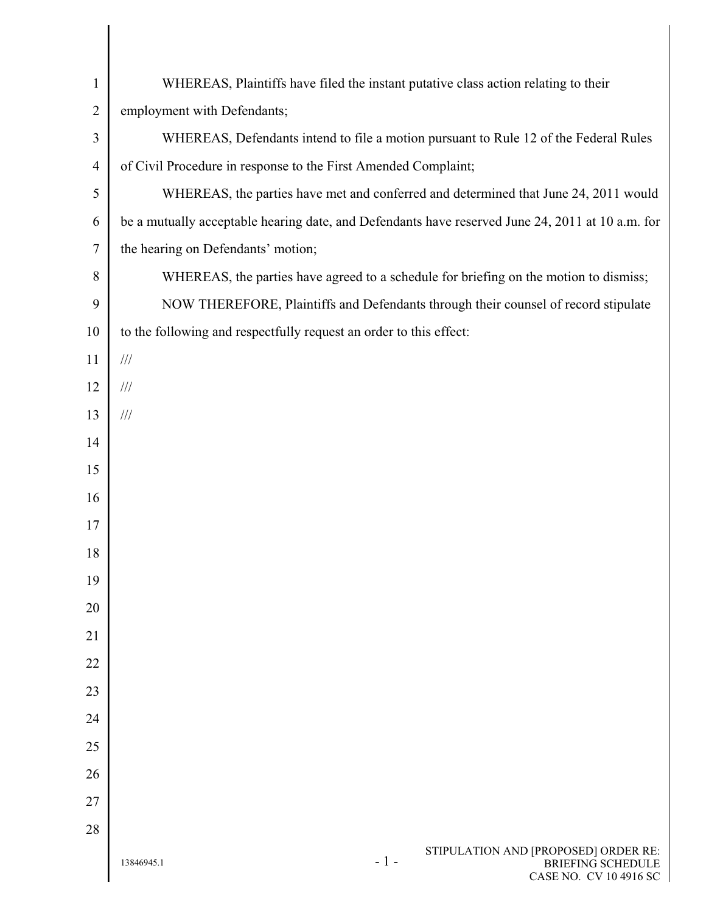| $\mathbf{1}$   | WHEREAS, Plaintiffs have filed the instant putative class action relating to their                                |
|----------------|-------------------------------------------------------------------------------------------------------------------|
| $\overline{2}$ | employment with Defendants;                                                                                       |
| $\mathfrak{Z}$ | WHEREAS, Defendants intend to file a motion pursuant to Rule 12 of the Federal Rules                              |
| $\overline{4}$ | of Civil Procedure in response to the First Amended Complaint;                                                    |
| $\mathfrak s$  | WHEREAS, the parties have met and conferred and determined that June 24, 2011 would                               |
| 6              | be a mutually acceptable hearing date, and Defendants have reserved June 24, 2011 at 10 a.m. for                  |
| $\tau$         | the hearing on Defendants' motion;                                                                                |
| $8\,$          | WHEREAS, the parties have agreed to a schedule for briefing on the motion to dismiss;                             |
| 9              | NOW THEREFORE, Plaintiffs and Defendants through their counsel of record stipulate                                |
| 10             | to the following and respectfully request an order to this effect:                                                |
| 11             | $/\!/ \!/$                                                                                                        |
| 12             | $/\!/ \!/$                                                                                                        |
| 13             | $/\!/ \!/$                                                                                                        |
| 14             |                                                                                                                   |
| 15             |                                                                                                                   |
| 16             |                                                                                                                   |
| 17             |                                                                                                                   |
| 18             |                                                                                                                   |
| 19             |                                                                                                                   |
| 20             |                                                                                                                   |
| 21             |                                                                                                                   |
| 22             |                                                                                                                   |
| 23             |                                                                                                                   |
| 24             |                                                                                                                   |
| 25             |                                                                                                                   |
| 26             |                                                                                                                   |
| 27             |                                                                                                                   |
| 28             |                                                                                                                   |
|                | STIPULATION AND [PROPOSED] ORDER RE:<br>$-1-$<br><b>BRIEFING SCHEDULE</b><br>13846945.1<br>CASE NO. CV 10 4916 SC |